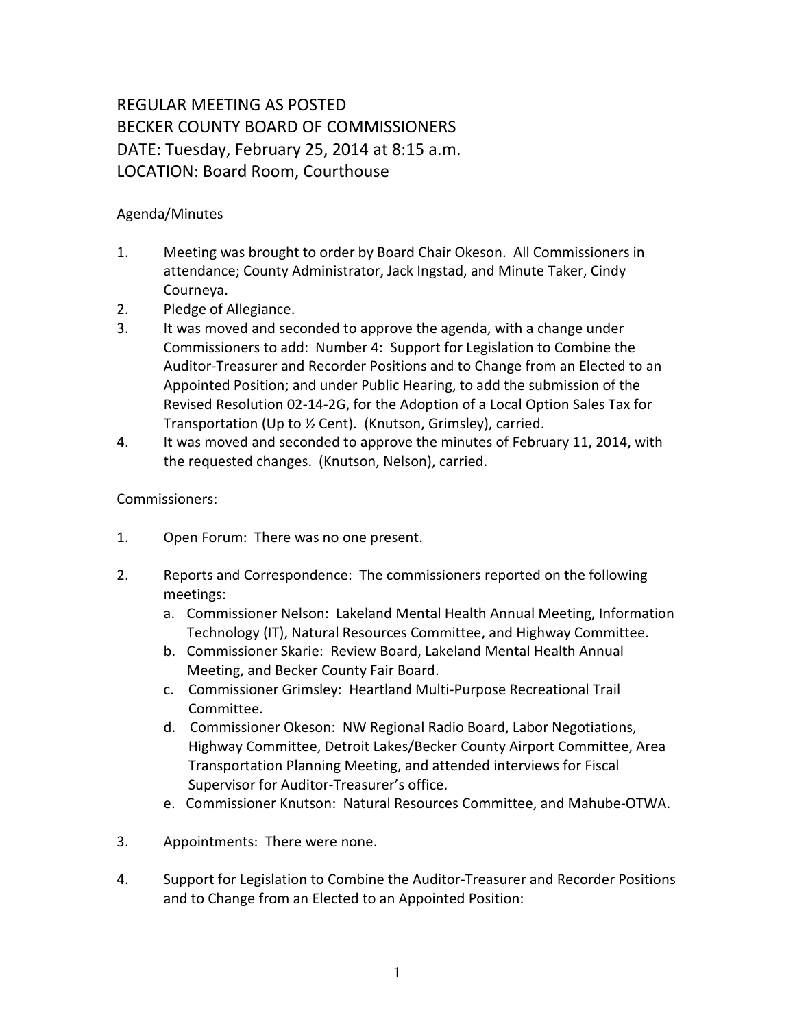## REGULAR MEETING AS POSTED BECKER COUNTY BOARD OF COMMISSIONERS DATE: Tuesday, February 25, 2014 at 8:15 a.m. LOCATION: Board Room, Courthouse

## Agenda/Minutes

- 1. Meeting was brought to order by Board Chair Okeson. All Commissioners in attendance; County Administrator, Jack Ingstad, and Minute Taker, Cindy Courneya.
- 2. Pledge of Allegiance.
- 3. It was moved and seconded to approve the agenda, with a change under Commissioners to add: Number 4: Support for Legislation to Combine the Auditor-Treasurer and Recorder Positions and to Change from an Elected to an Appointed Position; and under Public Hearing, to add the submission of the Revised Resolution 02-14-2G, for the Adoption of a Local Option Sales Tax for Transportation (Up to ½ Cent). (Knutson, Grimsley), carried.
- 4. It was moved and seconded to approve the minutes of February 11, 2014, with the requested changes. (Knutson, Nelson), carried.

## Commissioners:

- 1. Open Forum: There was no one present.
- 2. Reports and Correspondence: The commissioners reported on the following meetings:
	- a. Commissioner Nelson: Lakeland Mental Health Annual Meeting, Information Technology (IT), Natural Resources Committee, and Highway Committee.
	- b. Commissioner Skarie: Review Board, Lakeland Mental Health Annual Meeting, and Becker County Fair Board.
	- c. Commissioner Grimsley: Heartland Multi-Purpose Recreational Trail Committee.
	- d. Commissioner Okeson: NW Regional Radio Board, Labor Negotiations, Highway Committee, Detroit Lakes/Becker County Airport Committee, Area Transportation Planning Meeting, and attended interviews for Fiscal Supervisor for Auditor-Treasurer's office.
	- e. Commissioner Knutson: Natural Resources Committee, and Mahube-OTWA.
- 3. Appointments: There were none.
- 4. Support for Legislation to Combine the Auditor-Treasurer and Recorder Positions and to Change from an Elected to an Appointed Position: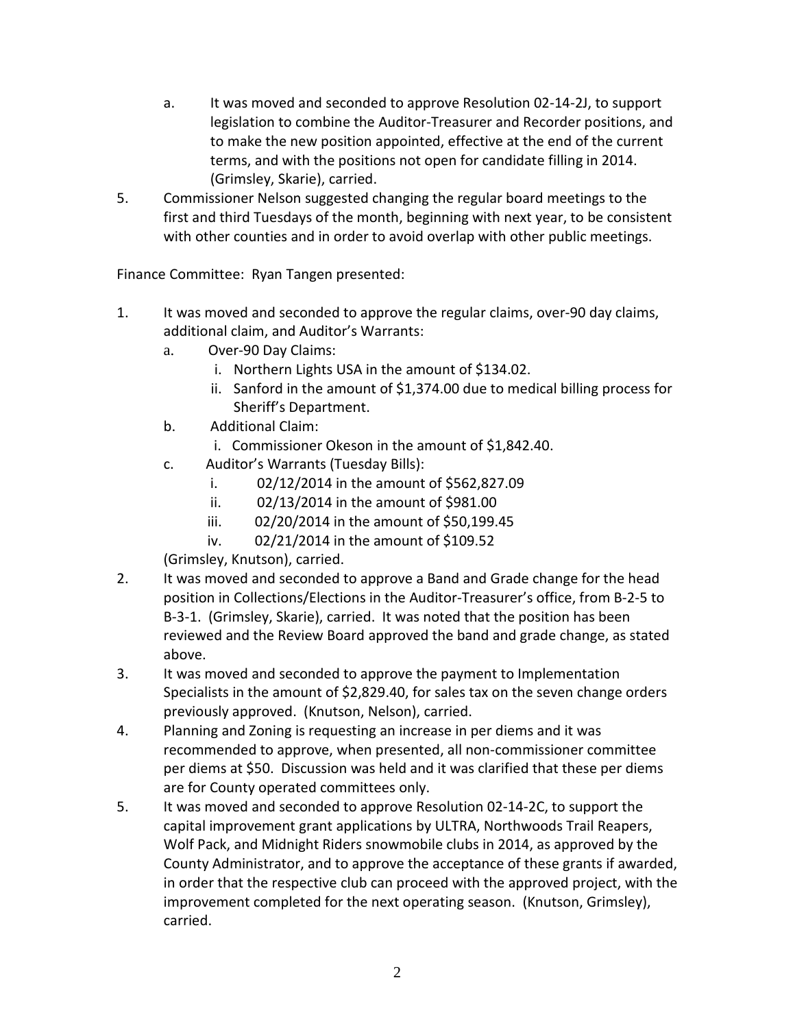- a. It was moved and seconded to approve Resolution 02-14-2J, to support legislation to combine the Auditor-Treasurer and Recorder positions, and to make the new position appointed, effective at the end of the current terms, and with the positions not open for candidate filling in 2014. (Grimsley, Skarie), carried.
- 5. Commissioner Nelson suggested changing the regular board meetings to the first and third Tuesdays of the month, beginning with next year, to be consistent with other counties and in order to avoid overlap with other public meetings.

Finance Committee: Ryan Tangen presented:

- 1. It was moved and seconded to approve the regular claims, over-90 day claims, additional claim, and Auditor's Warrants:
	- a. Over-90 Day Claims:
		- i. Northern Lights USA in the amount of \$134.02.
		- ii. Sanford in the amount of \$1,374.00 due to medical billing process for Sheriff's Department.
	- b. Additional Claim:
		- i. Commissioner Okeson in the amount of \$1,842.40.
	- c. Auditor's Warrants (Tuesday Bills):
		- i. 02/12/2014 in the amount of \$562,827.09
		- ii. 02/13/2014 in the amount of \$981.00
		- iii. 02/20/2014 in the amount of \$50,199.45
		- iv. 02/21/2014 in the amount of \$109.52

(Grimsley, Knutson), carried.

- 2. It was moved and seconded to approve a Band and Grade change for the head position in Collections/Elections in the Auditor-Treasurer's office, from B-2-5 to B-3-1. (Grimsley, Skarie), carried. It was noted that the position has been reviewed and the Review Board approved the band and grade change, as stated above.
- 3. It was moved and seconded to approve the payment to Implementation Specialists in the amount of \$2,829.40, for sales tax on the seven change orders previously approved. (Knutson, Nelson), carried.
- 4. Planning and Zoning is requesting an increase in per diems and it was recommended to approve, when presented, all non-commissioner committee per diems at \$50. Discussion was held and it was clarified that these per diems are for County operated committees only.
- 5. It was moved and seconded to approve Resolution 02-14-2C, to support the capital improvement grant applications by ULTRA, Northwoods Trail Reapers, Wolf Pack, and Midnight Riders snowmobile clubs in 2014, as approved by the County Administrator, and to approve the acceptance of these grants if awarded, in order that the respective club can proceed with the approved project, with the improvement completed for the next operating season. (Knutson, Grimsley), carried.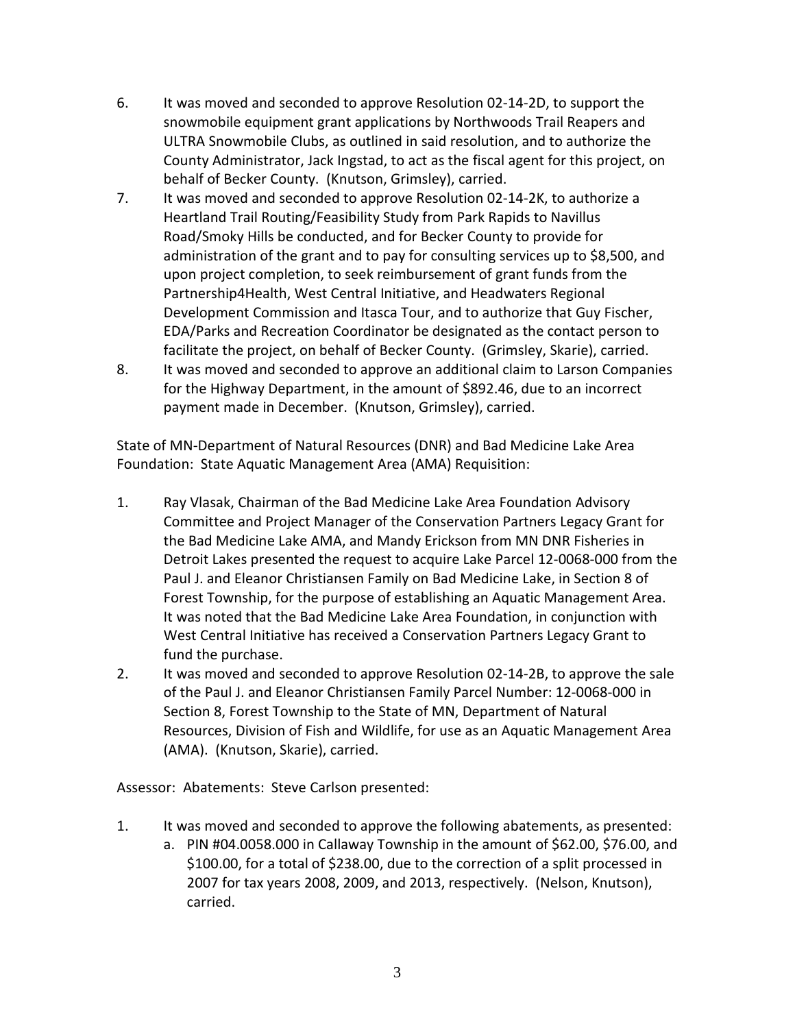- 6. It was moved and seconded to approve Resolution 02-14-2D, to support the snowmobile equipment grant applications by Northwoods Trail Reapers and ULTRA Snowmobile Clubs, as outlined in said resolution, and to authorize the County Administrator, Jack Ingstad, to act as the fiscal agent for this project, on behalf of Becker County. (Knutson, Grimsley), carried.
- 7. It was moved and seconded to approve Resolution 02-14-2K, to authorize a Heartland Trail Routing/Feasibility Study from Park Rapids to Navillus Road/Smoky Hills be conducted, and for Becker County to provide for administration of the grant and to pay for consulting services up to \$8,500, and upon project completion, to seek reimbursement of grant funds from the Partnership4Health, West Central Initiative, and Headwaters Regional Development Commission and Itasca Tour, and to authorize that Guy Fischer, EDA/Parks and Recreation Coordinator be designated as the contact person to facilitate the project, on behalf of Becker County. (Grimsley, Skarie), carried.
- 8. It was moved and seconded to approve an additional claim to Larson Companies for the Highway Department, in the amount of \$892.46, due to an incorrect payment made in December. (Knutson, Grimsley), carried.

State of MN-Department of Natural Resources (DNR) and Bad Medicine Lake Area Foundation: State Aquatic Management Area (AMA) Requisition:

- 1. Ray Vlasak, Chairman of the Bad Medicine Lake Area Foundation Advisory Committee and Project Manager of the Conservation Partners Legacy Grant for the Bad Medicine Lake AMA, and Mandy Erickson from MN DNR Fisheries in Detroit Lakes presented the request to acquire Lake Parcel 12-0068-000 from the Paul J. and Eleanor Christiansen Family on Bad Medicine Lake, in Section 8 of Forest Township, for the purpose of establishing an Aquatic Management Area. It was noted that the Bad Medicine Lake Area Foundation, in conjunction with West Central Initiative has received a Conservation Partners Legacy Grant to fund the purchase.
- 2. It was moved and seconded to approve Resolution 02-14-2B, to approve the sale of the Paul J. and Eleanor Christiansen Family Parcel Number: 12-0068-000 in Section 8, Forest Township to the State of MN, Department of Natural Resources, Division of Fish and Wildlife, for use as an Aquatic Management Area (AMA). (Knutson, Skarie), carried.

Assessor: Abatements: Steve Carlson presented:

- 1. It was moved and seconded to approve the following abatements, as presented:
	- a. PIN #04.0058.000 in Callaway Township in the amount of \$62.00, \$76.00, and \$100.00, for a total of \$238.00, due to the correction of a split processed in 2007 for tax years 2008, 2009, and 2013, respectively. (Nelson, Knutson), carried.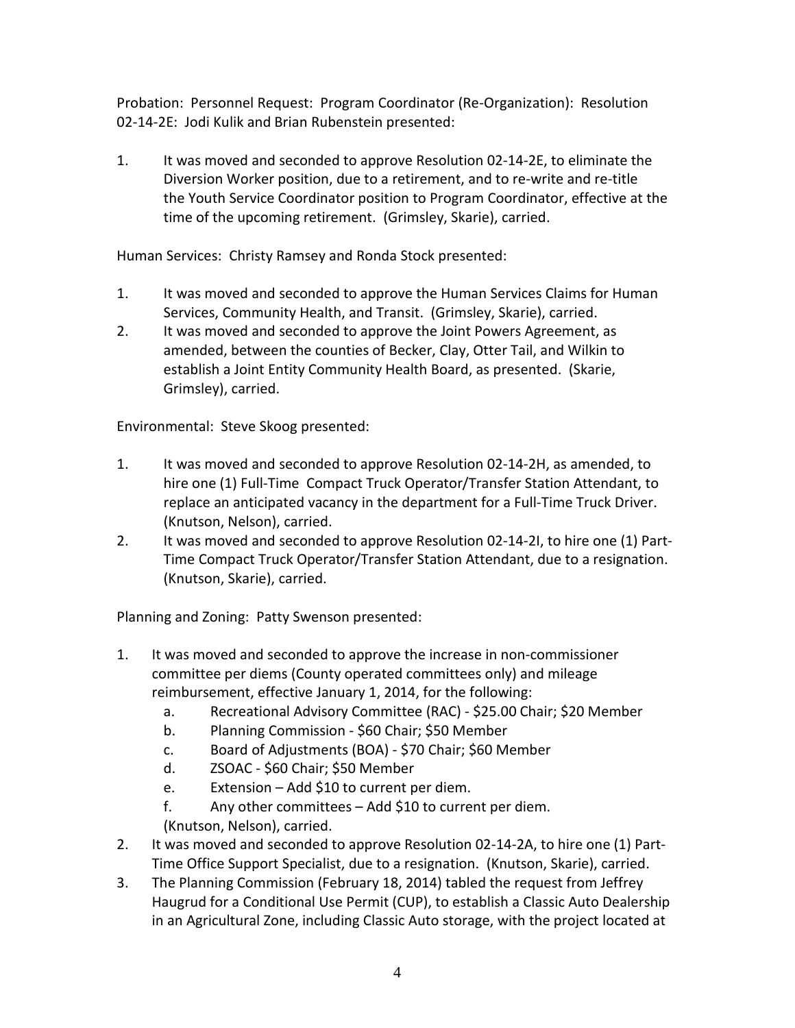Probation: Personnel Request: Program Coordinator (Re-Organization): Resolution 02-14-2E: Jodi Kulik and Brian Rubenstein presented:

1. It was moved and seconded to approve Resolution 02-14-2E, to eliminate the Diversion Worker position, due to a retirement, and to re-write and re-title the Youth Service Coordinator position to Program Coordinator, effective at the time of the upcoming retirement. (Grimsley, Skarie), carried.

Human Services: Christy Ramsey and Ronda Stock presented:

- 1. It was moved and seconded to approve the Human Services Claims for Human Services, Community Health, and Transit. (Grimsley, Skarie), carried.
- 2. It was moved and seconded to approve the Joint Powers Agreement, as amended, between the counties of Becker, Clay, Otter Tail, and Wilkin to establish a Joint Entity Community Health Board, as presented. (Skarie, Grimsley), carried.

Environmental: Steve Skoog presented:

- 1. It was moved and seconded to approve Resolution 02-14-2H, as amended, to hire one (1) Full-Time Compact Truck Operator/Transfer Station Attendant, to replace an anticipated vacancy in the department for a Full-Time Truck Driver. (Knutson, Nelson), carried.
- 2. It was moved and seconded to approve Resolution 02-14-2I, to hire one (1) Part-Time Compact Truck Operator/Transfer Station Attendant, due to a resignation. (Knutson, Skarie), carried.

Planning and Zoning: Patty Swenson presented:

- 1. It was moved and seconded to approve the increase in non-commissioner committee per diems (County operated committees only) and mileage reimbursement, effective January 1, 2014, for the following:
	- a. Recreational Advisory Committee (RAC) \$25.00 Chair; \$20 Member
	- b. Planning Commission \$60 Chair; \$50 Member
	- c. Board of Adjustments (BOA) \$70 Chair; \$60 Member
	- d. ZSOAC \$60 Chair; \$50 Member
	- e. Extension Add \$10 to current per diem.
	- f. Any other committees Add \$10 to current per diem. (Knutson, Nelson), carried.
- 2. It was moved and seconded to approve Resolution 02-14-2A, to hire one (1) Part-Time Office Support Specialist, due to a resignation. (Knutson, Skarie), carried.
- 3. The Planning Commission (February 18, 2014) tabled the request from Jeffrey Haugrud for a Conditional Use Permit (CUP), to establish a Classic Auto Dealership in an Agricultural Zone, including Classic Auto storage, with the project located at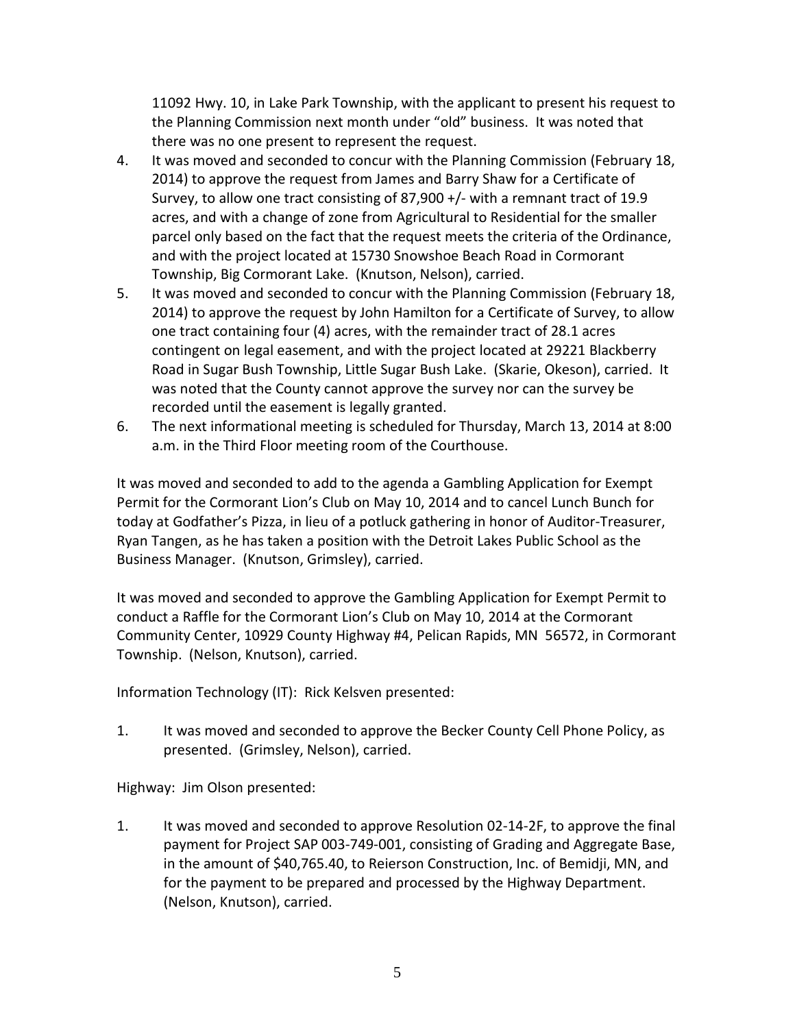11092 Hwy. 10, in Lake Park Township, with the applicant to present his request to the Planning Commission next month under "old" business. It was noted that there was no one present to represent the request.

- 4. It was moved and seconded to concur with the Planning Commission (February 18, 2014) to approve the request from James and Barry Shaw for a Certificate of Survey, to allow one tract consisting of 87,900 +/- with a remnant tract of 19.9 acres, and with a change of zone from Agricultural to Residential for the smaller parcel only based on the fact that the request meets the criteria of the Ordinance, and with the project located at 15730 Snowshoe Beach Road in Cormorant Township, Big Cormorant Lake. (Knutson, Nelson), carried.
- 5. It was moved and seconded to concur with the Planning Commission (February 18, 2014) to approve the request by John Hamilton for a Certificate of Survey, to allow one tract containing four (4) acres, with the remainder tract of 28.1 acres contingent on legal easement, and with the project located at 29221 Blackberry Road in Sugar Bush Township, Little Sugar Bush Lake. (Skarie, Okeson), carried. It was noted that the County cannot approve the survey nor can the survey be recorded until the easement is legally granted.
- 6. The next informational meeting is scheduled for Thursday, March 13, 2014 at 8:00 a.m. in the Third Floor meeting room of the Courthouse.

It was moved and seconded to add to the agenda a Gambling Application for Exempt Permit for the Cormorant Lion's Club on May 10, 2014 and to cancel Lunch Bunch for today at Godfather's Pizza, in lieu of a potluck gathering in honor of Auditor-Treasurer, Ryan Tangen, as he has taken a position with the Detroit Lakes Public School as the Business Manager. (Knutson, Grimsley), carried.

It was moved and seconded to approve the Gambling Application for Exempt Permit to conduct a Raffle for the Cormorant Lion's Club on May 10, 2014 at the Cormorant Community Center, 10929 County Highway #4, Pelican Rapids, MN 56572, in Cormorant Township. (Nelson, Knutson), carried.

Information Technology (IT): Rick Kelsven presented:

1. It was moved and seconded to approve the Becker County Cell Phone Policy, as presented. (Grimsley, Nelson), carried.

Highway: Jim Olson presented:

1. It was moved and seconded to approve Resolution 02-14-2F, to approve the final payment for Project SAP 003-749-001, consisting of Grading and Aggregate Base, in the amount of \$40,765.40, to Reierson Construction, Inc. of Bemidji, MN, and for the payment to be prepared and processed by the Highway Department. (Nelson, Knutson), carried.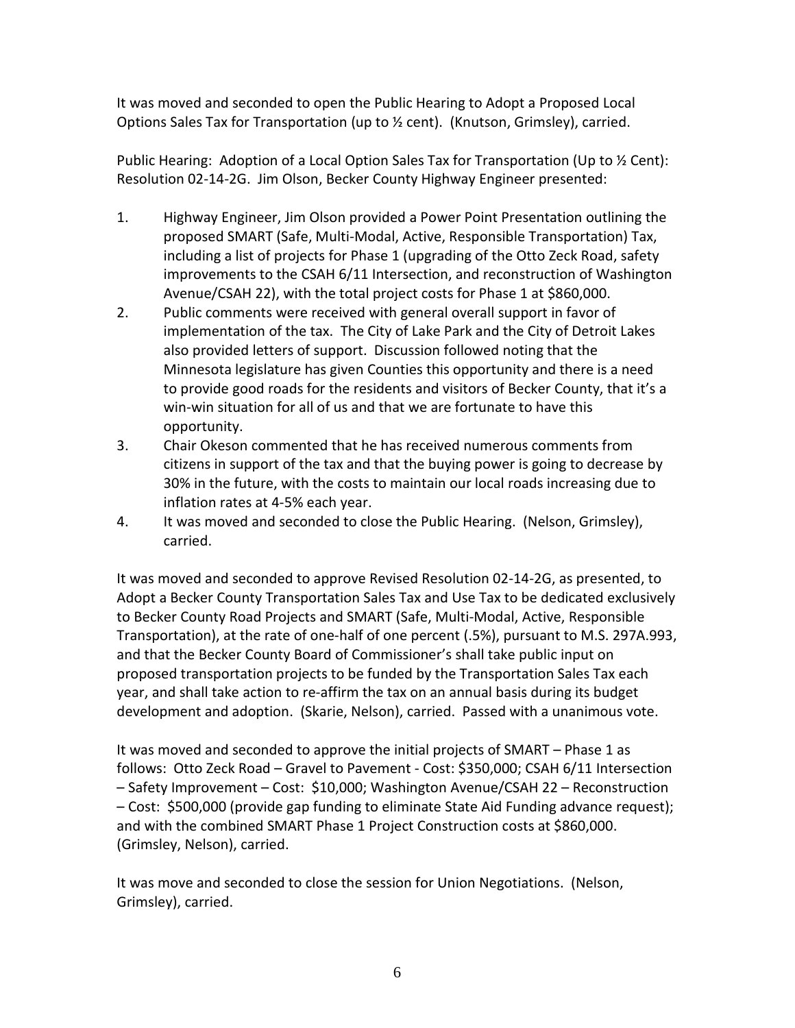It was moved and seconded to open the Public Hearing to Adopt a Proposed Local Options Sales Tax for Transportation (up to ½ cent). (Knutson, Grimsley), carried.

Public Hearing: Adoption of a Local Option Sales Tax for Transportation (Up to ½ Cent): Resolution 02-14-2G. Jim Olson, Becker County Highway Engineer presented:

- 1. Highway Engineer, Jim Olson provided a Power Point Presentation outlining the proposed SMART (Safe, Multi-Modal, Active, Responsible Transportation) Tax, including a list of projects for Phase 1 (upgrading of the Otto Zeck Road, safety improvements to the CSAH 6/11 Intersection, and reconstruction of Washington Avenue/CSAH 22), with the total project costs for Phase 1 at \$860,000.
- 2. Public comments were received with general overall support in favor of implementation of the tax. The City of Lake Park and the City of Detroit Lakes also provided letters of support. Discussion followed noting that the Minnesota legislature has given Counties this opportunity and there is a need to provide good roads for the residents and visitors of Becker County, that it's a win-win situation for all of us and that we are fortunate to have this opportunity.
- 3. Chair Okeson commented that he has received numerous comments from citizens in support of the tax and that the buying power is going to decrease by 30% in the future, with the costs to maintain our local roads increasing due to inflation rates at 4-5% each year.
- 4. It was moved and seconded to close the Public Hearing. (Nelson, Grimsley), carried.

It was moved and seconded to approve Revised Resolution 02-14-2G, as presented, to Adopt a Becker County Transportation Sales Tax and Use Tax to be dedicated exclusively to Becker County Road Projects and SMART (Safe, Multi-Modal, Active, Responsible Transportation), at the rate of one-half of one percent (.5%), pursuant to M.S. 297A.993, and that the Becker County Board of Commissioner's shall take public input on proposed transportation projects to be funded by the Transportation Sales Tax each year, and shall take action to re-affirm the tax on an annual basis during its budget development and adoption. (Skarie, Nelson), carried. Passed with a unanimous vote.

It was moved and seconded to approve the initial projects of SMART – Phase 1 as follows: Otto Zeck Road – Gravel to Pavement - Cost: \$350,000; CSAH 6/11 Intersection – Safety Improvement – Cost: \$10,000; Washington Avenue/CSAH 22 – Reconstruction – Cost: \$500,000 (provide gap funding to eliminate State Aid Funding advance request); and with the combined SMART Phase 1 Project Construction costs at \$860,000. (Grimsley, Nelson), carried.

It was move and seconded to close the session for Union Negotiations. (Nelson, Grimsley), carried.